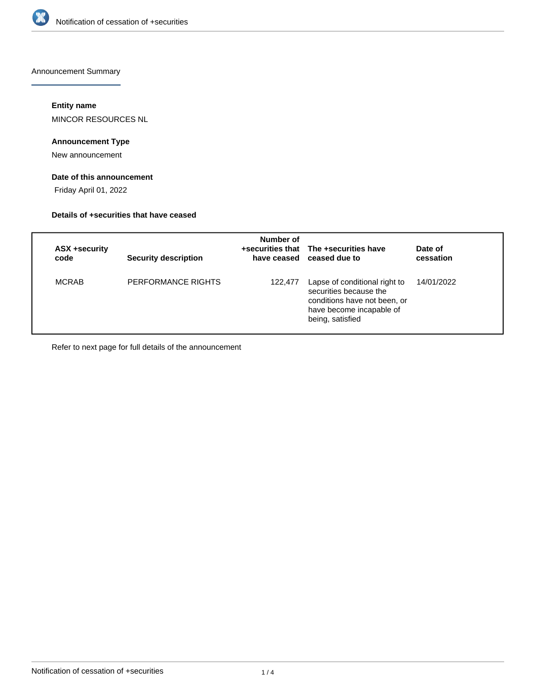

Announcement Summary

# **Entity name**

MINCOR RESOURCES NL

# **Announcement Type**

New announcement

## **Date of this announcement**

Friday April 01, 2022

#### **Details of +securities that have ceased**

| ASX +security<br>code | <b>Security description</b> | Number of | +securities that The +securities have<br>have ceased ceased due to                                                                      | Date of<br>cessation |
|-----------------------|-----------------------------|-----------|-----------------------------------------------------------------------------------------------------------------------------------------|----------------------|
| <b>MCRAB</b>          | PERFORMANCE RIGHTS          | 122,477   | Lapse of conditional right to<br>securities because the<br>conditions have not been, or<br>have become incapable of<br>being, satisfied | 14/01/2022           |

Refer to next page for full details of the announcement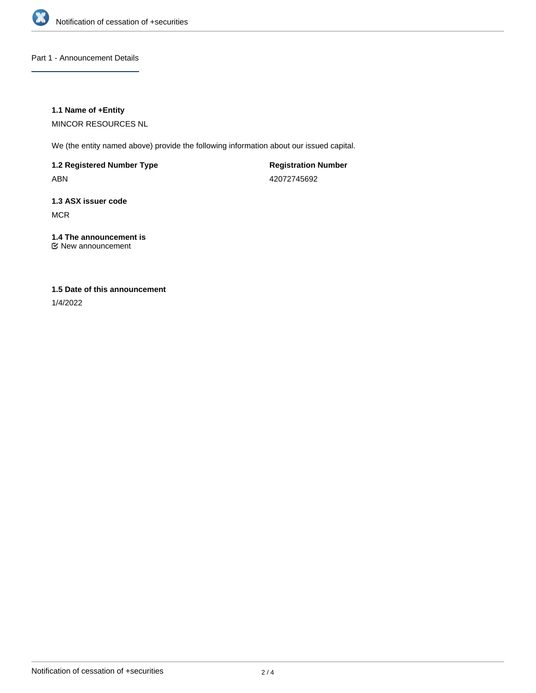

Part 1 - Announcement Details

### **1.1 Name of +Entity**

MINCOR RESOURCES NL

We (the entity named above) provide the following information about our issued capital.

**1.2 Registered Number Type** ABN

**Registration Number** 42072745692

**1.3 ASX issuer code MCR** 

#### **1.4 The announcement is** New announcement

## **1.5 Date of this announcement**

1/4/2022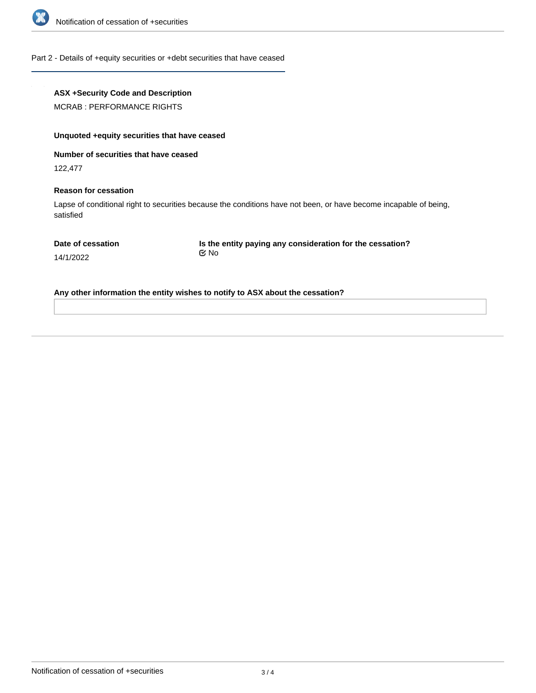

#### Part 2 - Details of +equity securities or +debt securities that have ceased

## **ASX +Security Code and Description**

MCRAB : PERFORMANCE RIGHTS

## **Unquoted +equity securities that have ceased**

**Number of securities that have ceased**

122,477

#### **Reason for cessation**

Lapse of conditional right to securities because the conditions have not been, or have become incapable of being, satisfied

**Is the entity paying any consideration for the cessation?** No

14/1/2022

**Any other information the entity wishes to notify to ASX about the cessation?**